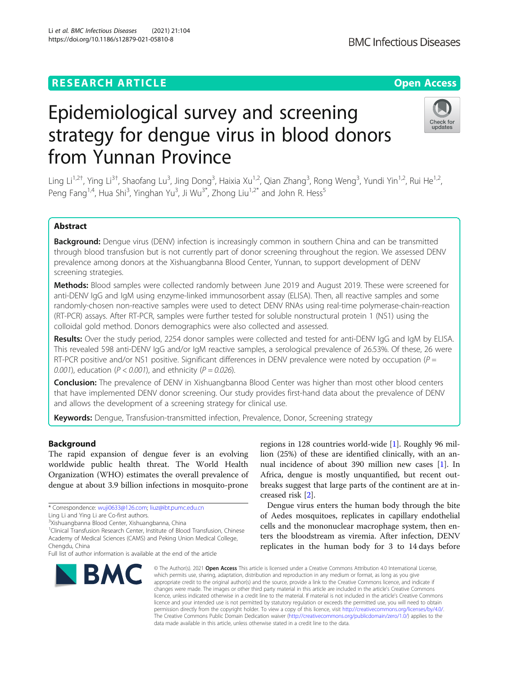# **RESEARCH ARTICLE Example 2014 12:30 The Contract of Contract ACCESS**

# Epidemiological survey and screening strategy for dengue virus in blood donors from Yunnan Province

Ling Li<sup>1,2†</sup>, Ying Li<sup>3†</sup>, Shaofang Lu<sup>3</sup>, Jing Dong<sup>3</sup>, Haixia Xu<sup>1,2</sup>, Qian Zhang<sup>3</sup>, Rong Weng<sup>3</sup>, Yundi Yin<sup>1,2</sup>, Rui He<sup>1,2</sup>, Peng Fang<sup>1,4</sup>, Hua Shi<sup>3</sup>, Yinghan Yu<sup>3</sup>, Ji Wu<sup>3\*</sup>, Zhong Liu<sup>1,2\*</sup> and John R. Hess<sup>5</sup>

# Abstract

Background: Dengue virus (DENV) infection is increasingly common in southern China and can be transmitted through blood transfusion but is not currently part of donor screening throughout the region. We assessed DENV prevalence among donors at the Xishuangbanna Blood Center, Yunnan, to support development of DENV screening strategies.

Methods: Blood samples were collected randomly between June 2019 and August 2019. These were screened for anti-DENV IgG and IgM using enzyme-linked immunosorbent assay (ELISA). Then, all reactive samples and some randomly-chosen non-reactive samples were used to detect DENV RNAs using real-time polymerase-chain-reaction (RT-PCR) assays. After RT-PCR, samples were further tested for soluble nonstructural protein 1 (NS1) using the colloidal gold method. Donors demographics were also collected and assessed.

Results: Over the study period, 2254 donor samples were collected and tested for anti-DENV IgG and IgM by ELISA. This revealed 598 anti-DENV IgG and/or IgM reactive samples, a serological prevalence of 26.53%. Of these, 26 were RT-PCR positive and/or NS1 positive. Significant differences in DENV prevalence were noted by occupation ( $P =$ 0.001), education ( $P < 0.001$ ), and ethnicity ( $P = 0.026$ ).

**Conclusion:** The prevalence of DENV in Xishuangbanna Blood Center was higher than most other blood centers that have implemented DENV donor screening. Our study provides first-hand data about the prevalence of DENV and allows the development of a screening strategy for clinical use.

Keywords: Dengue, Transfusion-transmitted infection, Prevalence, Donor, Screening strategy

# Background

The rapid expansion of dengue fever is an evolving worldwide public health threat. The World Health Organization (WHO) estimates the overall prevalence of dengue at about 3.9 billion infections in mosquito-prone

<sup>1</sup>Clinical Transfusion Research Center, Institute of Blood Transfusion, Chinese Academy of Medical Sciences (CAMS) and Peking Union Medical College, Chengdu, China

# regions in 128 countries world-wide [\[1](#page-6-0)]. Roughly 96 million (25%) of these are identified clinically, with an annual incidence of about 390 million new cases [[1\]](#page-6-0). In Africa, dengue is mostly unquantified, but recent outbreaks suggest that large parts of the continent are at increased risk [[2\]](#page-6-0).

Dengue virus enters the human body through the bite of Aedes mosquitoes, replicates in capillary endothelial cells and the mononuclear macrophage system, then enters the bloodstream as viremia. After infection, DENV replicates in the human body for 3 to 14 days before

© The Author(s), 2021 **Open Access** This article is licensed under a Creative Commons Attribution 4.0 International License, which permits use, sharing, adaptation, distribution and reproduction in any medium or format, as long as you give appropriate credit to the original author(s) and the source, provide a link to the Creative Commons licence, and indicate if changes were made. The images or other third party material in this article are included in the article's Creative Commons licence, unless indicated otherwise in a credit line to the material. If material is not included in the article's Creative Commons licence and your intended use is not permitted by statutory regulation or exceeds the permitted use, you will need to obtain permission directly from the copyright holder. To view a copy of this licence, visit [http://creativecommons.org/licenses/by/4.0/.](http://creativecommons.org/licenses/by/4.0/) The Creative Commons Public Domain Dedication waiver [\(http://creativecommons.org/publicdomain/zero/1.0/](http://creativecommons.org/publicdomain/zero/1.0/)) applies to the

data made available in this article, unless otherwise stated in a credit line to the data.

**BMC Infectious Diseases** 

Li et al. BMC Infectious Diseases (2021) 21:104 https://doi.org/10.1186/s12879-021-05810-8







<sup>\*</sup> Correspondence: [wuji0633@126.com](mailto:wuji0633@126.com); [liuz@ibt.pumc.edu.cn](mailto:liuz@ibt.pumc.edu.cn)

Ling Li and Ying Li are Co-first authors.

<sup>&</sup>lt;sup>3</sup>Xishuangbanna Blood Center, Xishuangbanna, China

Full list of author information is available at the end of the article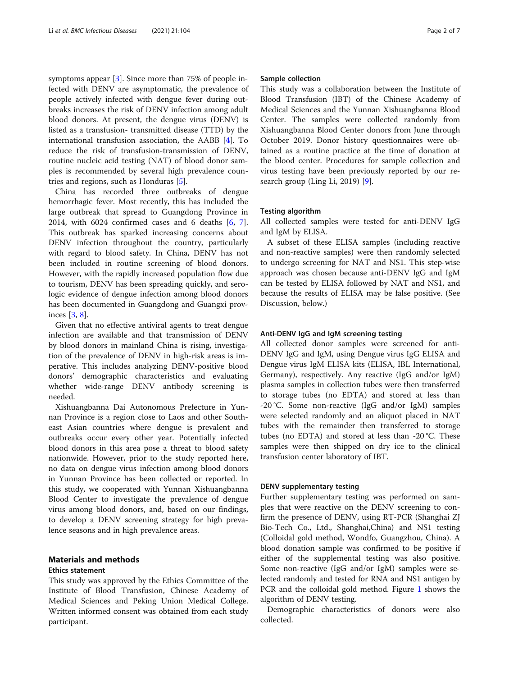symptoms appear [[3\]](#page-6-0). Since more than 75% of people infected with DENV are asymptomatic, the prevalence of people actively infected with dengue fever during outbreaks increases the risk of DENV infection among adult blood donors. At present, the dengue virus (DENV) is listed as a transfusion- transmitted disease (TTD) by the international transfusion association, the AABB [\[4](#page-6-0)]. To reduce the risk of transfusion-transmission of DENV, routine nucleic acid testing (NAT) of blood donor samples is recommended by several high prevalence countries and regions, such as Honduras [\[5](#page-6-0)].

China has recorded three outbreaks of dengue hemorrhagic fever. Most recently, this has included the large outbreak that spread to Guangdong Province in 2014, with 6024 confirmed cases and 6 deaths [\[6](#page-6-0), [7](#page-6-0)]. This outbreak has sparked increasing concerns about DENV infection throughout the country, particularly with regard to blood safety. In China, DENV has not been included in routine screening of blood donors. However, with the rapidly increased population flow due to tourism, DENV has been spreading quickly, and serologic evidence of dengue infection among blood donors has been documented in Guangdong and Guangxi provinces [\[3](#page-6-0), [8](#page-6-0)].

Given that no effective antiviral agents to treat dengue infection are available and that transmission of DENV by blood donors in mainland China is rising, investigation of the prevalence of DENV in high-risk areas is imperative. This includes analyzing DENV-positive blood donors' demographic characteristics and evaluating whether wide-range DENV antibody screening is needed.

Xishuangbanna Dai Autonomous Prefecture in Yunnan Province is a region close to Laos and other Southeast Asian countries where dengue is prevalent and outbreaks occur every other year. Potentially infected blood donors in this area pose a threat to blood safety nationwide. However, prior to the study reported here, no data on dengue virus infection among blood donors in Yunnan Province has been collected or reported. In this study, we cooperated with Yunnan Xishuangbanna Blood Center to investigate the prevalence of dengue virus among blood donors, and, based on our findings, to develop a DENV screening strategy for high prevalence seasons and in high prevalence areas.

# Materials and methods

## Ethics statement

This study was approved by the Ethics Committee of the Institute of Blood Transfusion, Chinese Academy of Medical Sciences and Peking Union Medical College. Written informed consent was obtained from each study participant.

#### Sample collection

This study was a collaboration between the Institute of Blood Transfusion (IBT) of the Chinese Academy of Medical Sciences and the Yunnan Xishuangbanna Blood Center. The samples were collected randomly from Xishuangbanna Blood Center donors from June through October 2019. Donor history questionnaires were obtained as a routine practice at the time of donation at the blood center. Procedures for sample collection and virus testing have been previously reported by our research group (Ling Li, 2019) [[9\]](#page-6-0).

## Testing algorithm

All collected samples were tested for anti-DENV IgG and IgM by ELISA.

A subset of these ELISA samples (including reactive and non-reactive samples) were then randomly selected to undergo screening for NAT and NS1. This step-wise approach was chosen because anti-DENV IgG and IgM can be tested by ELISA followed by NAT and NS1, and because the results of ELISA may be false positive. (See Discussion, below.)

#### Anti-DENV IgG and IgM screening testing

All collected donor samples were screened for anti-DENV IgG and IgM, using Dengue virus IgG ELISA and Dengue virus IgM ELISA kits (ELISA, IBL International, Germany), respectively. Any reactive (IgG and/or IgM) plasma samples in collection tubes were then transferred to storage tubes (no EDTA) and stored at less than -20 °C. Some non-reactive (IgG and/or IgM) samples were selected randomly and an aliquot placed in NAT tubes with the remainder then transferred to storage tubes (no EDTA) and stored at less than -20 °C. These samples were then shipped on dry ice to the clinical transfusion center laboratory of IBT.

#### DENV supplementary testing

Further supplementary testing was performed on samples that were reactive on the DENV screening to confirm the presence of DENV, using RT-PCR (Shanghai ZJ Bio-Tech Co., Ltd., Shanghai,China) and NS1 testing (Colloidal gold method, Wondfo, Guangzhou, China). A blood donation sample was confirmed to be positive if either of the supplemental testing was also positive. Some non-reactive (IgG and/or IgM) samples were selected randomly and tested for RNA and NS1 antigen by PCR and the colloidal gold method. Figure [1](#page-2-0) shows the algorithm of DENV testing.

Demographic characteristics of donors were also collected.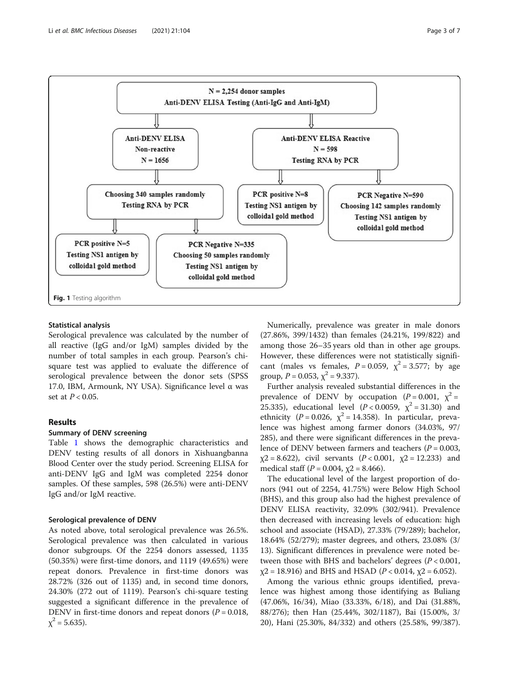<span id="page-2-0"></span>

## Statistical analysis

Serological prevalence was calculated by the number of all reactive (IgG and/or IgM) samples divided by the number of total samples in each group. Pearson's chisquare test was applied to evaluate the difference of serological prevalence between the donor sets (SPSS 17.0, IBM, Armounk, NY USA). Significance level α was set at  $P < 0.05$ .

# Results

# Summary of DENV screening

Table [1](#page-3-0) shows the demographic characteristics and DENV testing results of all donors in Xishuangbanna Blood Center over the study period. Screening ELISA for anti-DENV IgG and IgM was completed 2254 donor samples. Of these samples, 598 (26.5%) were anti-DENV IgG and/or IgM reactive.

# Serological prevalence of DENV

As noted above, total serological prevalence was 26.5%. Serological prevalence was then calculated in various donor subgroups. Of the 2254 donors assessed, 1135 (50.35%) were first-time donors, and 1119 (49.65%) were repeat donors. Prevalence in first-time donors was 28.72% (326 out of 1135) and, in second time donors, 24.30% (272 out of 1119). Pearson's chi-square testing suggested a significant difference in the prevalence of DENV in first-time donors and repeat donors ( $P = 0.018$ ,  $\chi^2$  = 5.635).

Numerically, prevalence was greater in male donors (27.86%, 399/1432) than females (24.21%, 199/822) and among those 26–35 years old than in other age groups. However, these differences were not statistically significant (males vs females,  $P = 0.059$ ,  $\chi^2 = 3.577$ ; by age group,  $P = 0.053$ ,  $\chi^2 = 9.337$ ).

Further analysis revealed substantial differences in the prevalence of DENV by occupation  $(P = 0.001, \gamma^2 =$ 25.335), educational level  $(P < 0.0059, \gamma^2 = 31.30)$  and ethnicity ( $P = 0.026$ ,  $\chi^2 = 14.358$ ). In particular, prevalence was highest among farmer donors (34.03%, 97/ 285), and there were significant differences in the prevalence of DENV between farmers and teachers ( $P = 0.003$ ,  $x^2 = 8.622$ , civil servants  $(P < 0.001, x^2 = 12.233)$  and medical staff  $(P = 0.004, \gamma^2 = 8.466)$ .

The educational level of the largest proportion of donors (941 out of 2254, 41.75%) were Below High School (BHS), and this group also had the highest prevalence of DENV ELISA reactivity, 32.09% (302/941). Prevalence then decreased with increasing levels of education: high school and associate (HSAD), 27.33% (79/289); bachelor, 18.64% (52/279); master degrees, and others, 23.08% (3/ 13). Significant differences in prevalence were noted between those with BHS and bachelors' degrees (P < 0.001,  $\chi$ 2 = 18.916) and BHS and HSAD (*P* < 0.014,  $\chi$ 2 = 6.052).

Among the various ethnic groups identified, prevalence was highest among those identifying as Buliang (47.06%, 16/34), Miao (33.33%, 6/18), and Dai (31.88%, 88/276); then Han (25.44%, 302/1187), Bai (15.00%, 3/ 20), Hani (25.30%, 84/332) and others (25.58%, 99/387).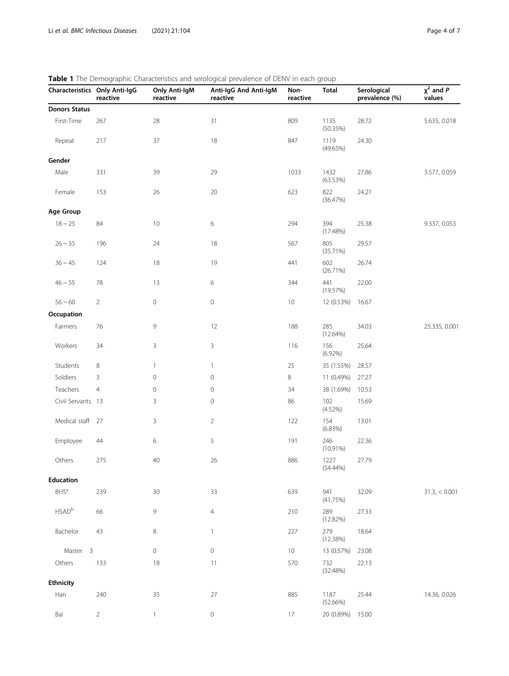| Characteristics Only Anti-IgG     | reactive       | <b>Only Anti-IgM</b><br>reactive | wie imie Beniographie enaracteristics and scrological prevalence of BENV in caen group<br>Anti-IgG And Anti-IgM<br>reactive | Non-<br>reactive | <b>Total</b>        | Serological<br>prevalence (%) | $\chi^2$ and P<br>values |
|-----------------------------------|----------------|----------------------------------|-----------------------------------------------------------------------------------------------------------------------------|------------------|---------------------|-------------------------------|--------------------------|
| <b>Donors Status</b>              |                |                                  |                                                                                                                             |                  |                     |                               |                          |
| First-Time                        | 267            | 28                               | 31                                                                                                                          | 809              | 1135<br>(50.35%)    | 28.72                         | 5.635, 0.018             |
| Repeat                            | 217            | $37\,$                           | $18\,$                                                                                                                      | 847              | 1119<br>(49.65%)    | 24.30                         |                          |
| Gender                            |                |                                  |                                                                                                                             |                  |                     |                               |                          |
| Male                              | 331            | 39                               | 29                                                                                                                          | 1033             | 1432<br>(63.53%)    | 27.86                         | 3.577, 0.059             |
| Female                            | 153            | 26                               | $20\,$                                                                                                                      | 623              | 822<br>(36.47%)     | 24.21                         |                          |
| Age Group                         |                |                                  |                                                                                                                             |                  |                     |                               |                          |
| $18 \sim 25$                      | 84             | $10$                             | $\,$ 6 $\,$                                                                                                                 | 294              | 394<br>(17.48%)     | 25.38                         | 9.337, 0.053             |
| $26 \sim 35$                      | 196            | 24                               | $18\,$                                                                                                                      | 567              | 805<br>(35.71%)     | 29.57                         |                          |
| $36 \sim 45$                      | 124            | 18                               | 19                                                                                                                          | 441              | 602<br>(26.71%)     | 26.74                         |                          |
| $46 \sim 55$                      | 78             | 13                               | $\,$ 6 $\,$                                                                                                                 | 344              | 441<br>(19.57%)     | 22.00                         |                          |
| $56 - 60$                         | $\overline{2}$ | 0                                | $\,0\,$                                                                                                                     | $10\,$           | 12 (0.53%)          | 16.67                         |                          |
| Occupation                        |                |                                  |                                                                                                                             |                  |                     |                               |                          |
| Farmers                           | 76             | 9                                | 12                                                                                                                          | 188              | 285<br>(12.64%)     | 34.03                         | 25.335, 0.001            |
| Workers                           | 34             | 3                                | $\mathsf{3}$                                                                                                                | 116              | 156<br>$(6.92\%)$   | 25.64                         |                          |
| Students                          | 8              | $\mathbf{1}$                     | $\mathbf{1}$                                                                                                                | 25               | 35 (1.55%)          | 28.57                         |                          |
| Soldiers                          | 3              | $\mathbb O$                      | $\mathbf 0$                                                                                                                 | 8                | 11 (0.49%)          | 27.27                         |                          |
| Teachers                          | $\overline{4}$ | 0                                | $\mathbf 0$                                                                                                                 | 34               | 38 (1.69%)          | 10.53                         |                          |
| Civil Servants 13                 |                | 3                                | $\mathbf 0$                                                                                                                 | 86               | 102<br>(4.52%)      | 15.69                         |                          |
| Medical staff 27                  |                | 3                                | $\overline{2}$                                                                                                              | 122              | 154<br>(6.83%)      | 13.01                         |                          |
| Employee                          | 44             | 6                                | 5                                                                                                                           | 191              | 246<br>$(10.91\%)$  | 22.36                         |                          |
| Others                            | 275            | 40                               | 26                                                                                                                          | 886              | 1227<br>$(54.44\%)$ | 27.79                         |                          |
| <b>Education</b>                  |                |                                  |                                                                                                                             |                  |                     |                               |                          |
| $BHS^a$                           | 239            | 30                               | 33                                                                                                                          | 639              | 941<br>(41.75%)     | 32.09                         | $31.3$ , $< 0.001$       |
| <b>HSAD</b> b                     | 66             | 9                                | $\overline{4}$                                                                                                              | 210              | 289<br>(12.82%)     | 27.33                         |                          |
| Bachelor                          | 43             | 8                                | $\mathbf{1}$                                                                                                                | 227              | 279<br>(12.38%)     | 18.64                         |                          |
| $\overline{\mathbf{3}}$<br>Master |                | $\mathsf{O}\xspace$              | $\mathbf 0$                                                                                                                 | $10\,$           | 13 (0.57%)          | 23.08                         |                          |
| Others                            | 133            | 18                               | 11                                                                                                                          | 570              | 732<br>(32.48%)     | 22.13                         |                          |
| <b>Ethnicity</b>                  |                |                                  |                                                                                                                             |                  |                     |                               |                          |
| Han                               | 240            | 35                               | $27\,$                                                                                                                      | 885              | 1187<br>(52.66%)    | 25.44                         | 14.36, 0.026             |
| Bai                               | $\overline{2}$ | $\mathbf{1}$                     | 0                                                                                                                           | $17\,$           | 20 (0.89%)          | 15.00                         |                          |

# <span id="page-3-0"></span>Table 1 The Demographic Characteristics and serological prevalence of DENV in each group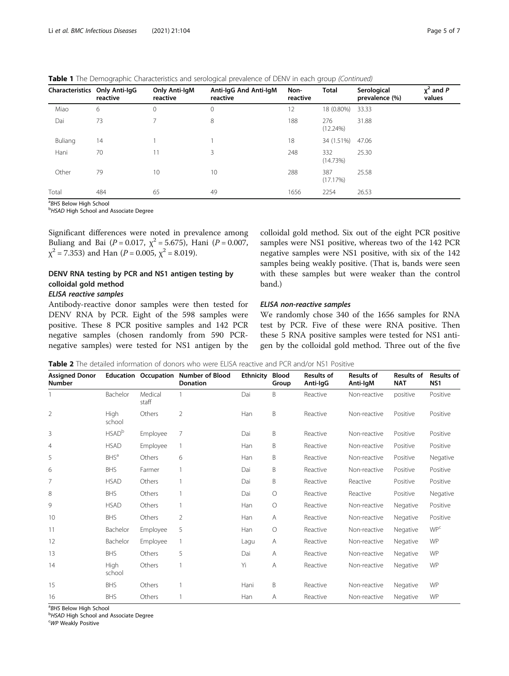<span id="page-4-0"></span>**Table 1** The Demographic Characteristics and serological prevalence of DENV in each group (Continued)

| Characteristics Only Anti-IgG | reactive | <b>Only Anti-IgM</b><br>reactive | Anti-IgG And Anti-IgM<br>reactive | Non-<br>reactive | <b>Total</b>       | Serological<br>prevalence (%) | $\chi^2$ and P<br>values |
|-------------------------------|----------|----------------------------------|-----------------------------------|------------------|--------------------|-------------------------------|--------------------------|
| Miao                          | 6        | $\mathbf{0}$                     | $\mathbf{0}$                      | 12               | 18 (0.80%)         | 33.33                         |                          |
| Dai                           | 73       |                                  | 8                                 | 188              | 276<br>$(12.24\%)$ | 31.88                         |                          |
| Buliang                       | 14       |                                  |                                   | 18               | 34 (1.51%)         | 47.06                         |                          |
| Hani                          | 70       |                                  | 3                                 | 248              | 332<br>(14.73%)    | 25.30                         |                          |
| Other                         | 79       | 10                               | 10                                | 288              | 387<br>(17.17%)    | 25.58                         |                          |
| Total                         | 484      | 65                               | 49                                | 1656             | 2254               | 26.53                         |                          |

<sup>a</sup>BHS Below High School<br><sup>b</sup>HSAD High School and

**bHSAD High School and Associate Degree** 

Significant differences were noted in prevalence among Buliang and Bai ( $P = 0.017$ ,  $\chi^2 = 5.675$ ), Hani ( $P = 0.007$ ,  $\chi^2$  = 7.353) and Han (*P* = 0.005,  $\chi^2$  = 8.019).

# DENV RNA testing by PCR and NS1 antigen testing by colloidal gold method

# ELISA reactive samples

Antibody-reactive donor samples were then tested for DENV RNA by PCR. Eight of the 598 samples were positive. These 8 PCR positive samples and 142 PCR negative samples (chosen randomly from 590 PCRnegative samples) were tested for NS1 antigen by the colloidal gold method. Six out of the eight PCR positive samples were NS1 positive, whereas two of the 142 PCR negative samples were NS1 positive, with six of the 142 samples being weakly positive. (That is, bands were seen with these samples but were weaker than the control band.)

## ELISA non-reactive samples

We randomly chose 340 of the 1656 samples for RNA test by PCR. Five of these were RNA positive. Then these 5 RNA positive samples were tested for NS1 antigen by the colloidal gold method. Three out of the five

Table 2 The detailed information of donors who were ELISA reactive and PCR and/or NS1 Positive

| <b>Assigned Donor</b><br><b>Number</b> |                          |                  | Education Occupation Number of Blood<br><b>Donation</b> | <b>Ethnicity</b> | <b>Blood</b><br>Group | <b>Results of</b><br>Anti-IgG | <b>Results of</b><br>Anti-IgM | <b>Results of</b><br><b>NAT</b> | <b>Results of</b><br>NS <sub>1</sub> |
|----------------------------------------|--------------------------|------------------|---------------------------------------------------------|------------------|-----------------------|-------------------------------|-------------------------------|---------------------------------|--------------------------------------|
|                                        | Bachelor                 | Medical<br>staff |                                                         | Dai              | B                     | Reactive                      | Non-reactive                  | positive                        | Positive                             |
| $\overline{2}$                         | High<br>school           | Others           | $\overline{2}$                                          | Han              | B                     | Reactive                      | Non-reactive                  | Positive                        | Positive                             |
| 3                                      | <b>HSAD</b> <sup>b</sup> | Employee         | $\overline{7}$                                          | Dai              | B                     | Reactive                      | Non-reactive                  | Positive                        | Positive                             |
| $\overline{4}$                         | <b>HSAD</b>              | Employee         |                                                         | Han              | B                     | Reactive                      | Non-reactive                  | Positive                        | Positive                             |
| 5                                      | <b>BHS</b> <sup>a</sup>  | Others           | 6                                                       | Han              | B                     | Reactive                      | Non-reactive                  | Positive                        | Negative                             |
| 6                                      | <b>BHS</b>               | Farmer           |                                                         | Dai              | B                     | Reactive                      | Non-reactive                  | Positive                        | Positive                             |
| 7                                      | <b>HSAD</b>              | Others           |                                                         | Dai              | B                     | Reactive                      | Reactive                      | Positive                        | Positive                             |
| 8                                      | <b>BHS</b>               | Others           |                                                         | Dai              | О                     | Reactive                      | Reactive                      | Positive                        | Negative                             |
| 9                                      | <b>HSAD</b>              | Others           |                                                         | Han              | О                     | Reactive                      | Non-reactive                  | Negative                        | Positive                             |
| 10                                     | <b>BHS</b>               | Others           | $\overline{2}$                                          | Han              | A                     | Reactive                      | Non-reactive                  | Negative                        | Positive                             |
| 11                                     | Bachelor                 | Employee         | 5                                                       | Han              | $\circ$               | Reactive                      | Non-reactive                  | Negative                        | <b>WP</b> c                          |
| 12                                     | Bachelor                 | Employee         |                                                         | Lagu             | Α                     | Reactive                      | Non-reactive                  | Negative                        | <b>WP</b>                            |
| 13                                     | <b>BHS</b>               | Others           | 5                                                       | Dai              | Α                     | Reactive                      | Non-reactive                  | Negative                        | WP                                   |
| 14                                     | High<br>school           | Others           |                                                         | Yi               | A                     | Reactive                      | Non-reactive                  | Negative                        | WP                                   |
| 15                                     | <b>BHS</b>               | Others           |                                                         | Hani             | B                     | Reactive                      | Non-reactive                  | Negative                        | WP                                   |
| 16                                     | <b>BHS</b>               | Others           |                                                         | Han              | Α                     | Reactive                      | Non-reactive                  | Negative                        | WP                                   |

<sup>a</sup>BHS Below High School<br><sup>b</sup>HSAD High School and

<sup>b</sup>HSAD High School and Associate Degree

WP Weakly Positive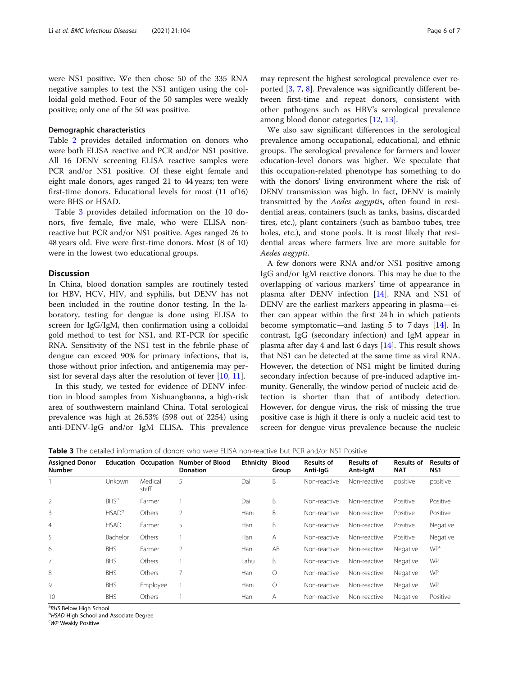<span id="page-5-0"></span>were NS1 positive. We then chose 50 of the 335 RNA negative samples to test the NS1 antigen using the colloidal gold method. Four of the 50 samples were weakly positive; only one of the 50 was positive.

#### Demographic characteristics

Table [2](#page-4-0) provides detailed information on donors who were both ELISA reactive and PCR and/or NS1 positive. All 16 DENV screening ELISA reactive samples were PCR and/or NS1 positive. Of these eight female and eight male donors, ages ranged 21 to 44 years; ten were first-time donors. Educational levels for most (11 of16) were BHS or HSAD.

Table 3 provides detailed information on the 10 donors, five female, five male, who were ELISA nonreactive but PCR and/or NS1 positive. Ages ranged 26 to 48 years old. Five were first-time donors. Most (8 of 10) were in the lowest two educational groups.

#### **Discussion**

In China, blood donation samples are routinely tested for HBV, HCV, HIV, and syphilis, but DENV has not been included in the routine donor testing. In the laboratory, testing for dengue is done using ELISA to screen for IgG/IgM, then confirmation using a colloidal gold method to test for NS1, and RT-PCR for specific RNA. Sensitivity of the NS1 test in the febrile phase of dengue can exceed 90% for primary infections, that is, those without prior infection, and antigenemia may persist for several days after the resolution of fever  $[10, 11]$  $[10, 11]$  $[10, 11]$ .

In this study, we tested for evidence of DENV infection in blood samples from Xishuangbanna, a high-risk area of southwestern mainland China. Total serological prevalence was high at 26.53% (598 out of 2254) using anti-DENV-IgG and/or IgM ELISA. This prevalence

may represent the highest serological prevalence ever reported [[3,](#page-6-0) [7,](#page-6-0) [8\]](#page-6-0). Prevalence was significantly different between first-time and repeat donors, consistent with other pathogens such as HBV's serological prevalence among blood donor categories [[12,](#page-6-0) [13](#page-6-0)].

We also saw significant differences in the serological prevalence among occupational, educational, and ethnic groups. The serological prevalence for farmers and lower education-level donors was higher. We speculate that this occupation-related phenotype has something to do with the donors' living environment where the risk of DENV transmission was high. In fact, DENV is mainly transmitted by the Aedes aegyptis, often found in residential areas, containers (such as tanks, basins, discarded tires, etc.), plant containers (such as bamboo tubes, tree holes, etc.), and stone pools. It is most likely that residential areas where farmers live are more suitable for Aedes aegypti.

A few donors were RNA and/or NS1 positive among IgG and/or IgM reactive donors. This may be due to the overlapping of various markers' time of appearance in plasma after DENV infection [\[14\]](#page-6-0). RNA and NS1 of DENV are the earliest markers appearing in plasma—either can appear within the first 24 h in which patients become symptomatic—and lasting 5 to 7 days [[14\]](#page-6-0). In contrast, IgG (secondary infection) and IgM appear in plasma after day 4 and last 6 days [\[14](#page-6-0)]. This result shows that NS1 can be detected at the same time as viral RNA. However, the detection of NS1 might be limited during secondary infection because of pre-induced adaptive immunity. Generally, the window period of nucleic acid detection is shorter than that of antibody detection. However, for dengue virus, the risk of missing the true positive case is high if there is only a nucleic acid test to screen for dengue virus prevalence because the nucleic

**Table 3** The detailed information of donors who were ELISA non-reactive but PCR and/or NS1 Positive

| <b>Assigned Donor</b><br>Number |                         | <b>Education Occupation</b> | <b>Number of Blood</b><br><b>Donation</b> | <b>Ethnicity</b> | <b>Blood</b><br>Group | <b>Results of</b><br>Anti-IgG | <b>Results of</b><br>Anti-IgM | <b>Results of</b><br><b>NAT</b> | <b>Results of</b><br>NS <sub>1</sub> |
|---------------------------------|-------------------------|-----------------------------|-------------------------------------------|------------------|-----------------------|-------------------------------|-------------------------------|---------------------------------|--------------------------------------|
|                                 | Unkown                  | Medical<br>staff            | 5                                         | Dai              | B                     | Non-reactive                  | Non-reactive                  | positive                        | positive                             |
| $\overline{2}$                  | <b>BHS</b> <sup>a</sup> | Farmer                      |                                           | Dai              | B                     | Non-reactive                  | Non-reactive                  | Positive                        | Positive                             |
| 3                               | HSAD <sup>b</sup>       | Others                      | $\overline{2}$                            | Hani             | B                     | Non-reactive                  | Non-reactive                  | Positive                        | Positive                             |
| 4                               | <b>HSAD</b>             | Farmer                      | 5                                         | Han              | B                     | Non-reactive                  | Non-reactive                  | Positive                        | Negative                             |
| 5                               | Bachelor                | Others                      |                                           | Han              | Α                     | Non-reactive                  | Non-reactive                  | Positive                        | Negative                             |
| 6                               | <b>BHS</b>              | Farmer                      | 2                                         | Han              | AB                    | Non-reactive                  | Non-reactive                  | Negative                        | <b>WP</b> <sup>c</sup>               |
| 7                               | <b>BHS</b>              | Others                      |                                           | Lahu             | B.                    | Non-reactive                  | Non-reactive                  | Negative                        | <b>WP</b>                            |
| 8                               | <b>BHS</b>              | Others                      | 7                                         | Han              | $\circ$               | Non-reactive                  | Non-reactive                  | Negative                        | <b>WP</b>                            |
| 9                               | <b>BHS</b>              | Employee                    |                                           | Hani             | $\circ$               | Non-reactive                  | Non-reactive                  | Negative                        | <b>WP</b>                            |
| 10                              | <b>BHS</b>              | Others                      |                                           | Han              | Α                     | Non-reactive                  | Non-reactive                  | Negative                        | Positive                             |

<sup>a</sup>BHS Below High School<br><sup>b</sup>HSAD High School and

<sup>b</sup>HSAD High School and Associate Degree

WP Weakly Positive